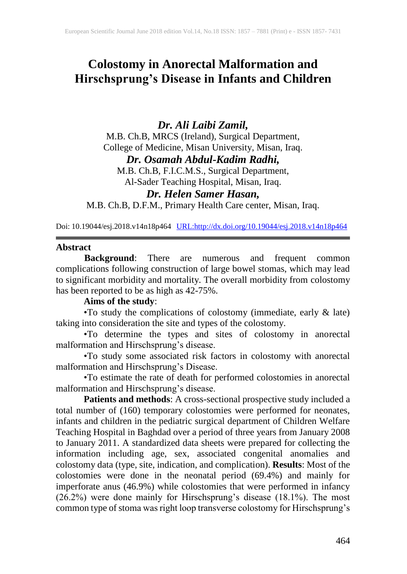# **Colostomy in Anorectal Malformation and Hirschsprung's Disease in Infants and Children**

# *Dr. Ali Laibi Zamil,*

M.B. Ch.B, MRCS (Ireland), Surgical Department, College of Medicine, Misan University, Misan, Iraq.

*Dr. Osamah Abdul-Kadim Radhi,*

M.B. Ch.B, F.I.C.M.S., Surgical Department,

Al-Sader Teaching Hospital, Misan, Iraq.

# *Dr. Helen Samer Hasan,*

M.B. Ch.B, D.F.M., Primary Health Care center, Misan, Iraq.

Doi: 10.19044/esj.2018.v14n18p464 [URL:http://dx.doi.org/10.19044/esj.2018.v14n18p464](http://dx.doi.org/10.19044/esj.2018.v14n18p464)

#### **Abstract**

**Background**: There are numerous and frequent common complications following construction of large bowel stomas, which may lead to significant morbidity and mortality. The overall morbidity from colostomy has been reported to be as high as 42-75%.

# **Aims of the study**:

•To study the complications of colostomy (immediate, early & late) taking into consideration the site and types of the colostomy.

•To determine the types and sites of colostomy in anorectal malformation and Hirschsprung's disease.

•To study some associated risk factors in colostomy with anorectal malformation and Hirschsprung's Disease.

•To estimate the rate of death for performed colostomies in anorectal malformation and Hirschsprung's disease.

**Patients and methods**: A cross-sectional prospective study included a total number of (160) temporary colostomies were performed for neonates, infants and children in the pediatric surgical department of Children Welfare Teaching Hospital in Baghdad over a period of three years from January 2008 to January 2011. A standardized data sheets were prepared for collecting the information including age, sex, associated congenital anomalies and colostomy data (type, site, indication, and complication). **Results**: Most of the colostomies were done in the neonatal period (69.4%) and mainly for imperforate anus (46.9%) while colostomies that were performed in infancy (26.2%) were done mainly for Hirschsprung's disease (18.1%). The most common type of stoma was right loop transverse colostomy for Hirschsprung's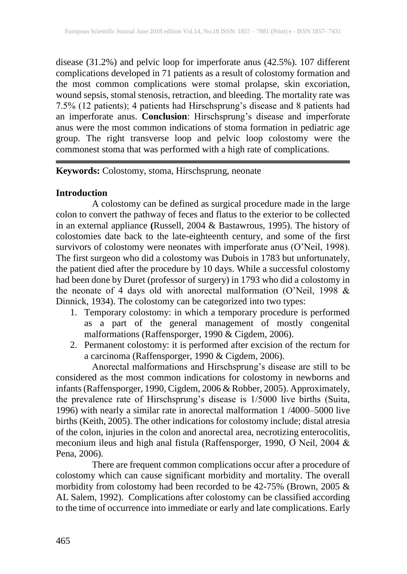disease (31.2%) and pelvic loop for imperforate anus (42.5%). 107 different complications developed in 71 patients as a result of colostomy formation and the most common complications were stomal prolapse, skin excoriation, wound sepsis, stomal stenosis, retraction, and bleeding. The mortality rate was 7.5% (12 patients); 4 patients had Hirschsprung's disease and 8 patients had an imperforate anus. **Conclusion**: Hirschsprung's disease and imperforate anus were the most common indications of stoma formation in pediatric age group. The right transverse loop and pelvic loop colostomy were the commonest stoma that was performed with a high rate of complications.

## **Keywords:** Colostomy, stoma, Hirschsprung, neonate

## **Introduction**

A colostomy can be defined as surgical procedure made in the large colon to convert the pathway of feces and flatus to the exterior to be collected in an external appliance **(**Russell, 2004 & Bastawrous, 1995). The history of colostomies date back to the late-eighteenth century, and some of the first survivors of colostomy were neonates with imperforate anus (O'Neil, 1998). The first surgeon who did a colostomy was Dubois in 1783 but unfortunately, the patient died after the procedure by 10 days. While a successful colostomy had been done by Duret (professor of surgery) in 1793 who did a colostomy in the neonate of 4 days old with anorectal malformation (O'Neil, 1998 & Dinnick, 1934). The colostomy can be categorized into two types:

- 1. Temporary colostomy: in which a temporary procedure is performed as a part of the general management of mostly congenital malformations (Raffensporger, 1990 & Cigdem, 2006).
- 2. Permanent colostomy: it is performed after excision of the rectum for a carcinoma (Raffensporger, 1990 & Cigdem, 2006).

Anorectal malformations and Hirschsprung's disease are still to be considered as the most common indications for colostomy in newborns and infants (Raffensporger, 1990, Cigdem, 2006 & Robber, 2005). Approximately, the prevalence rate of Hirschsprung's disease is 1/5000 live births (Suita, 1996) with nearly a similar rate in anorectal malformation 1 /4000–5000 live births (Keith, 2005). The other indications for colostomy include; distal atresia of the colon, injuries in the colon and anorectal area, necrotizing enterocolitis, meconium ileus and high anal fistula (Raffensporger, 1990, O Neil, 2004 & Pena, 2006).

There are frequent common complications occur after a procedure of colostomy which can cause significant morbidity and mortality. The overall morbidity from colostomy had been recorded to be 42-75% (Brown, 2005 & AL Salem, 1992). Complications after colostomy can be classified according to the time of occurrence into immediate or early and late complications. Early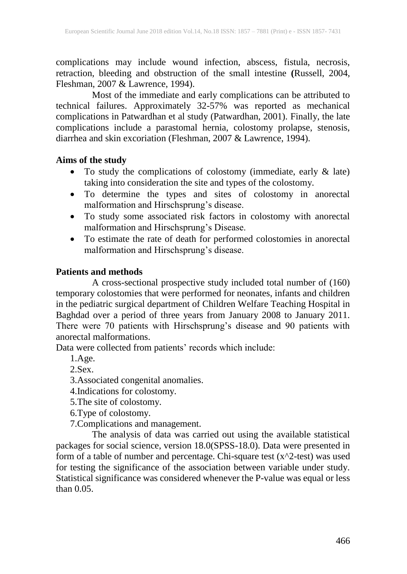complications may include wound infection, abscess, fistula, necrosis, retraction, bleeding and obstruction of the small intestine **(**Russell, 2004, Fleshman, 2007 & Lawrence, 1994).

Most of the immediate and early complications can be attributed to technical failures. Approximately 32-57% was reported as mechanical complications in Patwardhan et al study (Patwardhan, 2001). Finally, the late complications include a parastomal hernia, colostomy prolapse, stenosis, diarrhea and skin excoriation (Fleshman, 2007 & Lawrence, 1994).

#### **Aims of the study**

- To study the complications of colostomy (immediate, early & late) taking into consideration the site and types of the colostomy.
- To determine the types and sites of colostomy in anorectal malformation and Hirschsprung's disease.
- To study some associated risk factors in colostomy with anorectal malformation and Hirschsprung's Disease.
- To estimate the rate of death for performed colostomies in anorectal malformation and Hirschsprung's disease.

#### **Patients and methods**

A cross-sectional prospective study included total number of (160) temporary colostomies that were performed for neonates, infants and children in the pediatric surgical department of Children Welfare Teaching Hospital in Baghdad over a period of three years from January 2008 to January 2011. There were 70 patients with Hirschsprung's disease and 90 patients with anorectal malformations.

Data were collected from patients' records which include:

1.Age.

2.Sex.

3.Associated congenital anomalies.

4.Indications for colostomy.

5.The site of colostomy.

6.Type of colostomy.

7.Complications and management.

The analysis of data was carried out using the available statistical packages for social science, version 18.0(SPSS-18.0). Data were presented in form of a table of number and percentage. Chi-square test  $(x^2$ -test) was used for testing the significance of the association between variable under study. Statistical significance was considered whenever the P-value was equal or less than 0.05.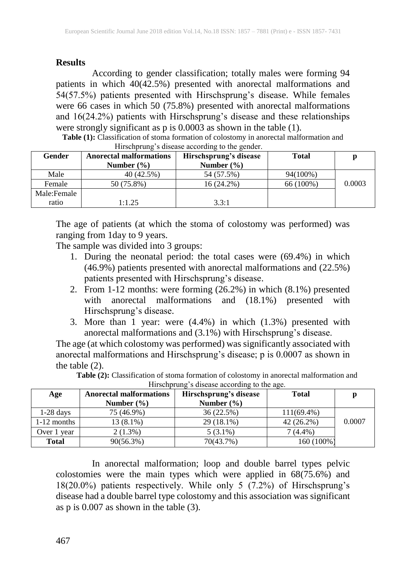## **Results**

According to gender classification; totally males were forming 94 patients in which 40(42.5%) presented with anorectal malformations and 54(57.5%) patients presented with Hirschsprung's disease. While females were 66 cases in which 50 (75.8%) presented with anorectal malformations and 16(24.2%) patients with Hirschsprung's disease and these relationships were strongly significant as p is  $0.0003$  as shown in the table (1).

| Gender      | <b>Anorectal malformations</b><br>Number $(\% )$ | Hirschsprung's disease<br>Number $(\% )$ | <b>Total</b> | p      |
|-------------|--------------------------------------------------|------------------------------------------|--------------|--------|
| Male        | 40 (42.5%)                                       | 54 (57.5%)                               | 94(100%)     |        |
| Female      | 50 (75.8%)                                       | 16 (24.2%)                               | 66 (100%)    | 0.0003 |
| Male:Female |                                                  |                                          |              |        |
| ratio       | 1:1.25                                           | 3.3:1                                    |              |        |

**Table (1):** Classification of stoma formation of colostomy in anorectal malformation and  $Hirochrrunq'$ s disease according to the gender.

The age of patients (at which the stoma of colostomy was performed) was ranging from 1day to 9 years.

The sample was divided into 3 groups:

- 1. During the neonatal period: the total cases were (69.4%) in which (46.9%) patients presented with anorectal malformations and (22.5%) patients presented with Hirschsprung's disease.
- 2. From 1-12 months: were forming (26.2%) in which (8.1%) presented with anorectal malformations and (18.1%) presented with Hirschsprung's disease.
- 3. More than  $\overline{1}$  year: were (4.4%) in which (1.3%) presented with anorectal malformations and (3.1%) with Hirschsprung's disease.

The age (at which colostomy was performed) was significantly associated with anorectal malformations and Hirschsprung's disease; p is 0.0007 as shown in the table (2).

| throwing a mother according to the age. |                                |                        |               |        |  |  |  |  |
|-----------------------------------------|--------------------------------|------------------------|---------------|--------|--|--|--|--|
| Age                                     | <b>Anorectal malformations</b> | Hirschsprung's disease | <b>Total</b>  |        |  |  |  |  |
|                                         | Number $(\% )$                 | Number $(\% )$         |               |        |  |  |  |  |
| $1-28$ days                             | 75 (46.9%)                     | 36 (22.5%)             | $111(69.4\%)$ |        |  |  |  |  |
| $1-12$ months                           | $13(8.1\%)$                    | 29 (18.1%)             | $42(26.2\%)$  | 0.0007 |  |  |  |  |
| Over 1<br>vear                          | $2(1.3\%)$                     | $5(3.1\%)$             | $7(4.4\%)$    |        |  |  |  |  |
| <b>Total</b>                            | 90(56.3%)                      | 70(43.7%)              | 160 (100%)    |        |  |  |  |  |

**Table (2):** Classification of stoma formation of colostomy in anorectal malformation and Hirschnrung's disease according to the age.

In anorectal malformation; loop and double barrel types pelvic colostomies were the main types which were applied in 68(75.6%) and 18(20.0%) patients respectively. While only 5 (7.2%) of Hirschsprung's disease had a double barrel type colostomy and this association was significant as p is 0.007 as shown in the table (3).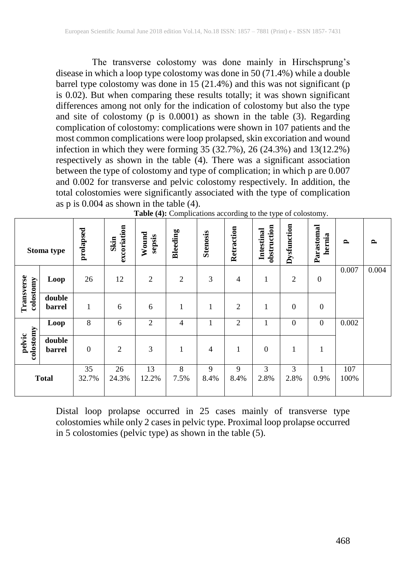The transverse colostomy was done mainly in Hirschsprung's disease in which a loop type colostomy was done in 50 (71.4%) while a double barrel type colostomy was done in  $15(21.4%)$  and this was not significant (p is 0.02). But when comparing these results totally; it was shown significant differences among not only for the indication of colostomy but also the type and site of colostomy (p is 0.0001) as shown in the table (3). Regarding complication of colostomy: complications were shown in 107 patients and the most common complications were loop prolapsed, skin excoriation and wound infection in which they were forming 35 (32.7%), 26 (24.3%) and 13(12.2%) respectively as shown in the table (4). There was a significant association between the type of colostomy and type of complication; in which p are 0.007 and 0.002 for transverse and pelvic colostomy respectively. In addition, the total colostomies were significantly associated with the type of complication as p is 0.004 as shown in the table (4).

|                         | Stoma type       | prolapsed    | excoriation<br>Skin | Wound<br>sepsis | <b>Bleeding</b> | <b>Stenosis</b> | Retraction     | obstruction<br>Intestinal | Dysfunction      | Parastomal<br>hernia | $\mathbf{r}$ | $\mathbf{p}$ |
|-------------------------|------------------|--------------|---------------------|-----------------|-----------------|-----------------|----------------|---------------------------|------------------|----------------------|--------------|--------------|
|                         | Loop             | 26           | 12                  | $\overline{2}$  | $\overline{2}$  | 3               | $\overline{4}$ | 1                         | $\mathfrak{2}$   | $\boldsymbol{0}$     | 0.007        | 0.004        |
| Transverse<br>colostomy | double<br>barrel | $\mathbf{1}$ | 6                   | 6               | 1               | 1               | $\mathfrak{2}$ | 1                         | $\boldsymbol{0}$ | $\boldsymbol{0}$     |              |              |
|                         | Loop             | 8            | 6                   | 2               | $\overline{4}$  |                 | $\overline{2}$ |                           | $\mathbf{0}$     | $\boldsymbol{0}$     | 0.002        |              |
| pelvic<br>colostomy     | double<br>barrel | $\theta$     | $\overline{2}$      | $\overline{3}$  | $\mathbf{1}$    | $\overline{4}$  | $\mathbf{1}$   | $\boldsymbol{0}$          | $\mathbf{1}$     | 1                    |              |              |
|                         | <b>Total</b>     | 35<br>32.7%  | 26<br>24.3%         | 13<br>12.2%     | 8<br>7.5%       | 9<br>8.4%       | 9<br>8.4%      | 3<br>2.8%                 | 3<br>2.8%        | 0.9%                 | 107<br>100%  |              |

| Table (4): Complications according to the type of colostomy. |  |  |
|--------------------------------------------------------------|--|--|
|                                                              |  |  |

Distal loop prolapse occurred in 25 cases mainly of transverse type colostomies while only 2 cases in pelvic type. Proximal loop prolapse occurred in 5 colostomies (pelvic type) as shown in the table (5).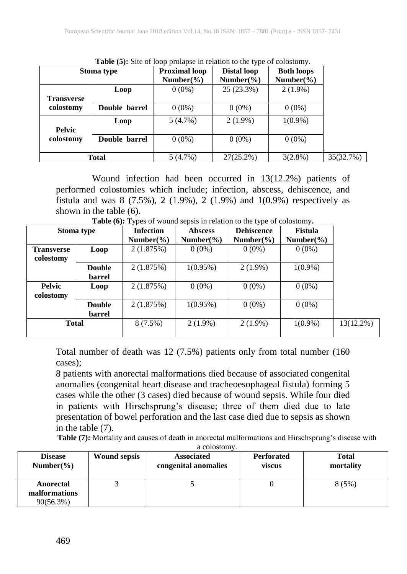| Stoma type        |               | <b>Proximal loop</b><br>Number( $\%$ ) | <b>Distal loop</b><br>Number( $\%$ ) | <b>Both loops</b><br>Number $(\% )$ |           |
|-------------------|---------------|----------------------------------------|--------------------------------------|-------------------------------------|-----------|
| <b>Transverse</b> | Loop          | $0(0\%)$                               | 25 (23.3%)                           | $2(1.9\%)$                          |           |
| colostomy         | Double barrel | $0(0\%)$                               | $0(0\%)$                             | $0(0\%)$                            |           |
| <b>Pelvic</b>     | Loop          | $5(4.7\%)$                             | $2(1.9\%)$                           | $1(0.9\%)$                          |           |
| colostomy         | Double barrel | $0(0\%)$                               | $0(0\%)$                             | $0(0\%)$                            |           |
|                   | Total         | $5(4.7\%)$                             | $27(25.2\%)$                         | $3(2.8\%)$                          | 35(32.7%) |

**Table (5):** Site of loop prolapse in relation to the type of colostomy.

Wound infection had been occurred in 13(12.2%) patients of performed colostomies which include; infection, abscess, dehiscence, and fistula and was  $8$  (7.5%), 2 (1.9%), 2 (1.9%) and 1(0.9%) respectively as shown in the table (6).

| Stoma type        |               | <b>Infection</b>     | <b>Abscess</b> | <b>Dehiscence</b> | <b>Fistula</b> |
|-------------------|---------------|----------------------|----------------|-------------------|----------------|
|                   |               | Number $\frac{6}{6}$ | Number( $\%$ ) | Number( $\%$ )    | Number( $\%$ ) |
| <b>Transverse</b> | Loop          | 2(1.875%)            | $0(0\%)$       | $0(0\%)$          | $0(0\%)$       |
| colostomy         |               |                      |                |                   |                |
|                   | <b>Double</b> | 2(1.875%)            | $1(0.95\%)$    | $2(1.9\%)$        | $1(0.9\%)$     |
|                   | barrel        |                      |                |                   |                |
| <b>Pelvic</b>     | Loop          | 2(1.875%)            | $0(0\%)$       | $0(0\%)$          | $0(0\%)$       |
| colostomy         |               |                      |                |                   |                |
|                   | <b>Double</b> | 2(1.875%)            | $1(0.95\%)$    | $0(0\%)$          | $0(0\%)$       |
|                   | barrel        |                      |                |                   |                |
| <b>Total</b>      |               | $8(7.5\%)$           | $2(1.9\%)$     | $2(1.9\%)$        | $1(0.9\%)$     |
|                   |               |                      |                |                   |                |

**Table (6):** Types of wound sepsis in relation to the type of colostomy**.**

Total number of death was 12 (7.5%) patients only from total number (160 cases);

8 patients with anorectal malformations died because of associated congenital anomalies (congenital heart disease and tracheoesophageal fistula) forming 5 cases while the other (3 cases) died because of wound sepsis. While four died in patients with Hirschsprung's disease; three of them died due to late presentation of bowel perforation and the last case died due to sepsis as shown in the table (7).

**Table (7):** Mortality and causes of death in anorectal malformations and Hirschsprung's disease with a colostomy.

| <b>Disease</b>                             | <b>Wound sepsis</b> | <b>Associated</b>    | <b>Perforated</b> | Total     |
|--------------------------------------------|---------------------|----------------------|-------------------|-----------|
| Number( $\%$ )                             |                     | congenital anomalies | viscus            | mortality |
| Anorectal<br>malformations<br>$90(56.3\%)$ |                     |                      |                   | 8(5%)     |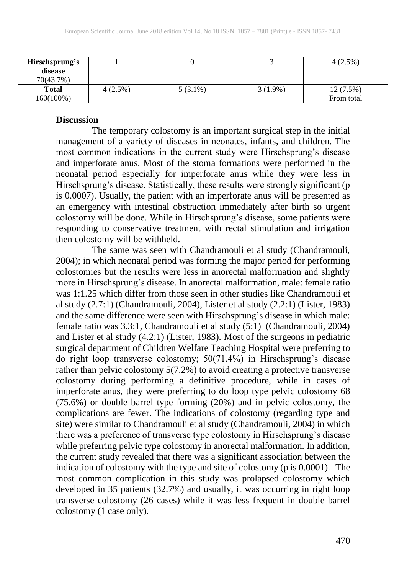| Hirschsprung's<br>disease<br>70(43.7%) |         |            |            | $4(2.5\%)$             |
|----------------------------------------|---------|------------|------------|------------------------|
| <b>Total</b><br>160(100%)              | 4(2.5%) | $5(3.1\%)$ | $3(1.9\%)$ | 12(7.5%)<br>From total |

#### **Discussion**

The temporary colostomy is an important surgical step in the initial management of a variety of diseases in neonates, infants, and children. The most common indications in the current study were Hirschsprung's disease and imperforate anus. Most of the stoma formations were performed in the neonatal period especially for imperforate anus while they were less in Hirschsprung's disease. Statistically, these results were strongly significant (p is 0.0007). Usually, the patient with an imperforate anus will be presented as an emergency with intestinal obstruction immediately after birth so urgent colostomy will be done. While in Hirschsprung's disease, some patients were responding to conservative treatment with rectal stimulation and irrigation then colostomy will be withheld.

The same was seen with Chandramouli et al study (Chandramouli, 2004); in which neonatal period was forming the major period for performing colostomies but the results were less in anorectal malformation and slightly more in Hirschsprung's disease. In anorectal malformation, male: female ratio was 1:1.25 which differ from those seen in other studies like Chandramouli et al study (2.7:1) (Chandramouli, 2004), Lister et al study (2.2:1) (Lister, 1983) and the same difference were seen with Hirschsprung's disease in which male: female ratio was 3.3:1, Chandramouli et al study (5:1) (Chandramouli, 2004) and Lister et al study (4.2:1) (Lister, 1983). Most of the surgeons in pediatric surgical department of Children Welfare Teaching Hospital were preferring to do right loop transverse colostomy; 50(71.4%) in Hirschsprung's disease rather than pelvic colostomy 5(7.2%) to avoid creating a protective transverse colostomy during performing a definitive procedure, while in cases of imperforate anus, they were preferring to do loop type pelvic colostomy 68 (75.6%) or double barrel type forming (20%) and in pelvic colostomy, the complications are fewer. The indications of colostomy (regarding type and site) were similar to Chandramouli et al study (Chandramouli, 2004) in which there was a preference of transverse type colostomy in Hirschsprung's disease while preferring pelvic type colostomy in anorectal malformation. In addition, the current study revealed that there was a significant association between the indication of colostomy with the type and site of colostomy (p is 0.0001). The most common complication in this study was prolapsed colostomy which developed in 35 patients (32.7%) and usually, it was occurring in right loop transverse colostomy (26 cases) while it was less frequent in double barrel colostomy (1 case only).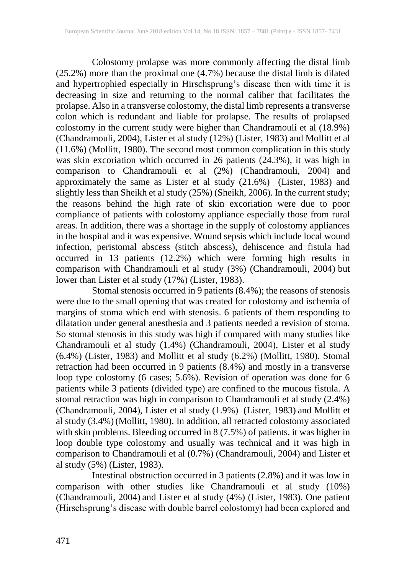Colostomy prolapse was more commonly affecting the distal limb (25.2%) more than the proximal one (4.7%) because the distal limb is dilated and hypertrophied especially in Hirschsprung's disease then with time it is decreasing in size and returning to the normal caliber that facilitates the prolapse. Also in a transverse colostomy, the distal limb represents a transverse colon which is redundant and liable for prolapse. The results of prolapsed colostomy in the current study were higher than Chandramouli et al (18.9%) (Chandramouli, 2004), Lister et al study (12%) (Lister, 1983) and Mollitt et al (11.6%) (Mollitt, 1980). The second most common complication in this study was skin excoriation which occurred in 26 patients (24.3%), it was high in comparison to Chandramouli et al (2%) (Chandramouli, 2004) and approximately the same as Lister et al study (21.6%) (Lister, 1983) and slightly less than Sheikh et al study (25%) (Sheikh, 2006). In the current study; the reasons behind the high rate of skin excoriation were due to poor compliance of patients with colostomy appliance especially those from rural areas. In addition, there was a shortage in the supply of colostomy appliances in the hospital and it was expensive. Wound sepsis which include local wound infection, peristomal abscess (stitch abscess), dehiscence and fistula had occurred in 13 patients (12.2%) which were forming high results in comparison with Chandramouli et al study (3%) (Chandramouli, 2004) but lower than Lister et al study (17%) (Lister, 1983).

Stomal stenosis occurred in 9 patients (8.4%); the reasons of stenosis were due to the small opening that was created for colostomy and ischemia of margins of stoma which end with stenosis. 6 patients of them responding to dilatation under general anesthesia and 3 patients needed a revision of stoma. So stomal stenosis in this study was high if compared with many studies like Chandramouli et al study (1.4%) (Chandramouli, 2004), Lister et al study (6.4%) (Lister, 1983) and Mollitt et al study (6.2%) (Mollitt, 1980). Stomal retraction had been occurred in 9 patients (8.4%) and mostly in a transverse loop type colostomy (6 cases; 5.6%). Revision of operation was done for 6 patients while 3 patients (divided type) are confined to the mucous fistula. A stomal retraction was high in comparison to Chandramouli et al study (2.4%) (Chandramouli, 2004), Lister et al study (1.9%) (Lister, 1983) and Mollitt et al study (3.4%) (Mollitt, 1980). In addition, all retracted colostomy associated with skin problems. Bleeding occurred in 8 (7.5%) of patients, it was higher in loop double type colostomy and usually was technical and it was high in comparison to Chandramouli et al (0.7%) (Chandramouli, 2004) and Lister et al study (5%) (Lister, 1983).

Intestinal obstruction occurred in 3 patients (2.8%) and it was low in comparison with other studies like Chandramouli et al study (10%) (Chandramouli, 2004) and Lister et al study (4%) (Lister, 1983). One patient (Hirschsprung's disease with double barrel colostomy) had been explored and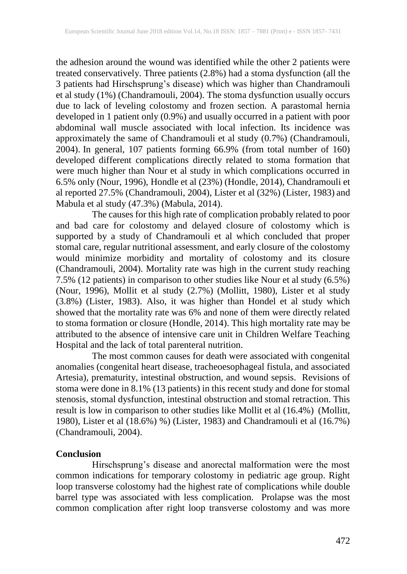the adhesion around the wound was identified while the other 2 patients were treated conservatively. Three patients (2.8%) had a stoma dysfunction (all the 3 patients had Hirschsprung's disease) which was higher than Chandramouli et al study (1%) (Chandramouli, 2004). The stoma dysfunction usually occurs due to lack of leveling colostomy and frozen section. A parastomal hernia developed in 1 patient only (0.9%) and usually occurred in a patient with poor abdominal wall muscle associated with local infection. Its incidence was approximately the same of Chandramouli et al study (0.7%) (Chandramouli, 2004). In general, 107 patients forming 66.9% (from total number of 160) developed different complications directly related to stoma formation that were much higher than Nour et al study in which complications occurred in 6.5% only (Nour, 1996), Hondle et al (23%) (Hondle, 2014), Chandramouli et al reported 27.5% (Chandramouli, 2004), Lister et al (32%) (Lister, 1983) and Mabula et al study (47.3%) (Mabula, 2014).

The causes for this high rate of complication probably related to poor and bad care for colostomy and delayed closure of colostomy which is supported by a study of Chandramouli et al which concluded that proper stomal care, regular nutritional assessment, and early closure of the colostomy would minimize morbidity and mortality of colostomy and its closure (Chandramouli, 2004). Mortality rate was high in the current study reaching 7.5% (12 patients) in comparison to other studies like Nour et al study (6.5%) (Nour, 1996), Mollit et al study (2.7%) (Mollitt, 1980), Lister et al study (3.8%) (Lister, 1983). Also, it was higher than Hondel et al study which showed that the mortality rate was 6% and none of them were directly related to stoma formation or closure (Hondle, 2014). This high mortality rate may be attributed to the absence of intensive care unit in Children Welfare Teaching Hospital and the lack of total parenteral nutrition.

The most common causes for death were associated with congenital anomalies (congenital heart disease, tracheoesophageal fistula, and associated Artesia), prematurity, intestinal obstruction, and wound sepsis. Revisions of stoma were done in 8.1% (13 patients) in this recent study and done for stomal stenosis, stomal dysfunction, intestinal obstruction and stomal retraction. This result is low in comparison to other studies like Mollit et al (16.4%) (Mollitt, 1980), Lister et al (18.6%) %) (Lister, 1983) and Chandramouli et al (16.7%) (Chandramouli, 2004).

#### **Conclusion**

Hirschsprung's disease and anorectal malformation were the most common indications for temporary colostomy in pediatric age group. Right loop transverse colostomy had the highest rate of complications while double barrel type was associated with less complication. Prolapse was the most common complication after right loop transverse colostomy and was more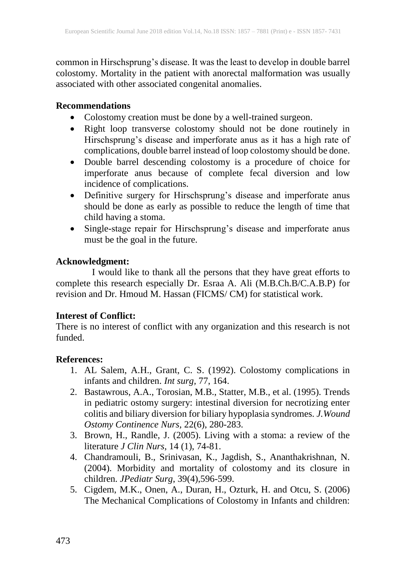common in Hirschsprung's disease. It was the least to develop in double barrel colostomy. Mortality in the patient with anorectal malformation was usually associated with other associated congenital anomalies.

#### **Recommendations**

- Colostomy creation must be done by a well-trained surgeon.
- Right loop transverse colostomy should not be done routinely in Hirschsprung's disease and imperforate anus as it has a high rate of complications, double barrel instead of loop colostomy should be done.
- Double barrel descending colostomy is a procedure of choice for imperforate anus because of complete fecal diversion and low incidence of complications.
- Definitive surgery for Hirschsprung's disease and imperforate anus should be done as early as possible to reduce the length of time that child having a stoma.
- Single-stage repair for Hirschsprung's disease and imperforate anus must be the goal in the future.

## **Acknowledgment:**

I would like to thank all the persons that they have great efforts to complete this research especially Dr. Esraa A. Ali (M.B.Ch.B/C.A.B.P) for revision and Dr. Hmoud M. Hassan (FICMS/ CM) for statistical work.

## **Interest of Conflict:**

There is no interest of conflict with any organization and this research is not funded.

## **References:**

- 1. AL Salem, A.H., Grant, C. S. (1992). Colostomy complications in infants and children. *Int surg,* 77, 164.
- 2. Bastawrous, A.A., Torosian, M.B., Statter, M.B., et al. (1995). Trends in pediatric ostomy surgery: intestinal diversion for necrotizing enter colitis and biliary diversion for biliary hypoplasia syndromes. *J.Wound Ostomy Continence Nurs,* 22(6), 280-283.
- 3. Brown, H., Randle, J. (2005). Living with a stoma: a review of the literature *J Clin Nurs*, 14 (1), 74-81.
- 4. Chandramouli, B., Srinivasan, K., Jagdish, S., Ananthakrishnan, N. (2004). Morbidity and mortality of colostomy and its closure in children. *JPediatr Surg*, 39(4),596-599.
- 5. Cigdem, M.K., Onen, A., Duran, H., Ozturk, H. and Otcu, S. (2006) The Mechanical Complications of Colostomy in Infants and children: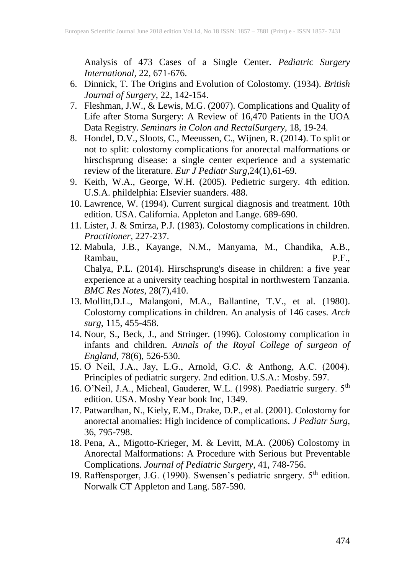Analysis of 473 Cases of a Single Center. *Pediatric Surgery International*, 22, 671-676.

- 6. Dinnick, T. The Origins and Evolution of Colostomy. (1934). *British Journal of Surgery*, 22, 142-154.
- 7. Fleshman, J.W., & Lewis, M.G. (2007). Complications and Quality of Life after Stoma Surgery: A Review of 16,470 Patients in the UOA Data Registry. *Seminars in Colon and RectalSurgery*, 18, 19-24.
- 8. Hondel, D.V., Sloots, C., Meeussen, C., Wijnen, R. (2014). To split or not to split: colostomy complications for anorectal malformations or hirschsprung disease: a single center experience and a systematic review of the literature. *Eur J Pediatr Surg*,24(1),61-69.
- 9. Keith, W.A., George, W.H. (2005). Pedietric surgery. 4th edition. U.S.A. phildelphia: Elsevier suanders. 488.
- 10. Lawrence, W. (1994). Current surgical diagnosis and treatment. 10th edition. USA. California. Appleton and Lange. 689-690.
- 11. Lister, J. & Smirza, P.J. (1983). Colostomy complications in children. *Practitioner*, 227-237.
- 12. Mabula, J.B., Kayange, N.M., Manyama, M., Chandika, A.B., Rambau, P.F., Chalya, P.L. (2014). Hirschsprung's disease in children: a five year experience at a university teaching hospital in northwestern Tanzania. *BMC Res Notes*, 28(7),410.
- 13. Mollitt,D.L., Malangoni, M.A., Ballantine, T.V., et al. (1980). Colostomy complications in children. An analysis of 146 cases. *Arch surg*, 115, 455-458.
- 14. Nour, S., Beck, J., and Stringer. (1996). Colostomy complication in infants and children. *Annals of the Royal College of surgeon of England*, 78(6), 526-530.
- 15. Ơ Neil, J.A., Jay, L.G., Arnold, G.C. & Anthong, A.C. (2004). Principles of pediatric surgery. 2nd edition. U.S.A.: Mosby. 597.
- 16. O'Neil, J.A., Micheal, Gauderer, W.L. (1998). Paediatric surgery. 5<sup>th</sup> edition. USA. Mosby Year book Inc, 1349.
- 17. Patwardhan, N., Kiely, E.M., Drake, D.P., et al. (2001). Colostomy for anorectal anomalies: High incidence of complications. *J Pediatr Surg*, 36, 795-798.
- 18. Pena, A., Migotto-Krieger, M. & Levitt, M.A. (2006) Colostomy in Anorectal Malformations: A Procedure with Serious but Preventable Complications*. Journal of Pediatric Surgery*, 41, 748-756.
- 19. Raffensporger, J.G. (1990). Swensen's pediatric snrgery. 5<sup>th</sup> edition. Norwalk CT Appleton and Lang. 587-590.